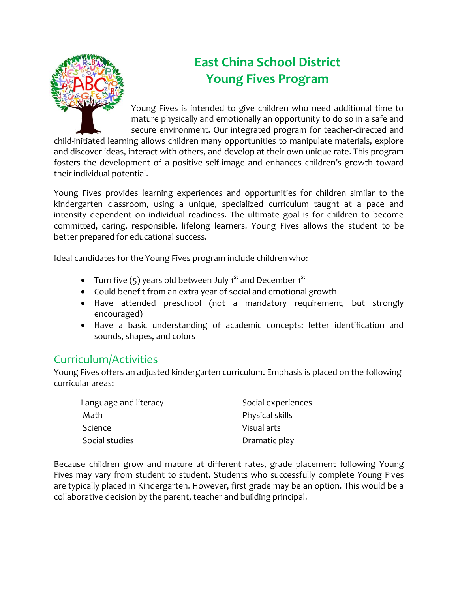

# **East China School District Young Fives Program**

Young Fives is intended to give children who need additional time to mature physically and emotionally an opportunity to do so in a safe and secure environment. Our integrated program for teacher-directed and

child-initiated learning allows children many opportunities to manipulate materials, explore and discover ideas, interact with others, and develop at their own unique rate. This program fosters the development of a positive self-image and enhances children's growth toward their individual potential.

Young Fives provides learning experiences and opportunities for children similar to the kindergarten classroom, using a unique, specialized curriculum taught at a pace and intensity dependent on individual readiness. The ultimate goal is for children to become committed, caring, responsible, lifelong learners. Young Fives allows the student to be better prepared for educational success.

Ideal candidates for the Young Fives program include children who:

- Turn five  $(5)$  years old between July 1<sup>st</sup> and December 1<sup>st</sup>
- Could benefit from an extra year of social and emotional growth
- Have attended preschool (not a mandatory requirement, but strongly encouraged)
- Have a basic understanding of academic concepts: letter identification and sounds, shapes, and colors

## Curriculum/Activities

Young Fives offers an adjusted kindergarten curriculum. Emphasis is placed on the following curricular areas:

| Language and literacy | Social experiences |
|-----------------------|--------------------|
| Math                  | Physical skills    |
| Science               | Visual arts        |
| Social studies        | Dramatic play      |

Because children grow and mature at different rates, grade placement following Young Fives may vary from student to student. Students who successfully complete Young Fives are typically placed in Kindergarten. However, first grade may be an option. This would be a collaborative decision by the parent, teacher and building principal.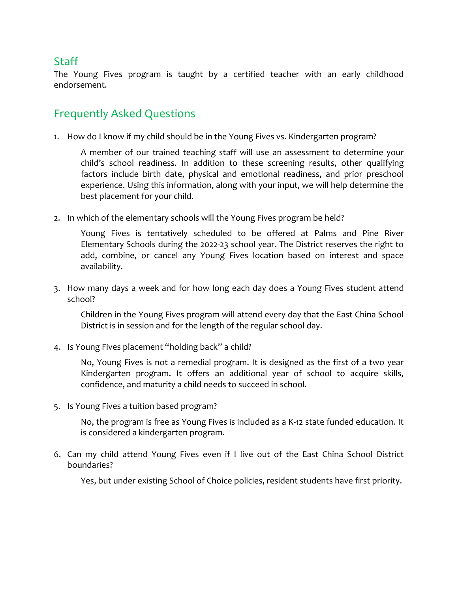## **Staff**

The Young Fives program is taught by a certified teacher with an early childhood endorsement.

# Frequently Asked Questions

1. How do I know if my child should be in the Young Fives vs. Kindergarten program?

A member of our trained teaching staff will use an assessment to determine your child's school readiness. In addition to these screening results, other qualifying factors include birth date, physical and emotional readiness, and prior preschool experience. Using this information, along with your input, we will help determine the best placement for your child.

2. In which of the elementary schools will the Young Fives program be held?

Young Fives is tentatively scheduled to be offered at Palms and Pine River Elementary Schools during the 2022-23 school year. The District reserves the right to add, combine, or cancel any Young Fives location based on interest and space availability.

3. How many days a week and for how long each day does a Young Fives student attend school?

Children in the Young Fives program will attend every day that the East China School District is in session and for the length of the regular school day.

4. Is Young Fives placement "holding back" a child?

No, Young Fives is not a remedial program. It is designed as the first of a two year Kindergarten program. It offers an additional year of school to acquire skills, confidence, and maturity a child needs to succeed in school.

5. Is Young Fives a tuition based program?

No, the program is free as Young Fives is included as a K-12 state funded education. It is considered a kindergarten program.

6. Can my child attend Young Fives even if I live out of the East China School District boundaries?

Yes, but under existing School of Choice policies, resident students have first priority.